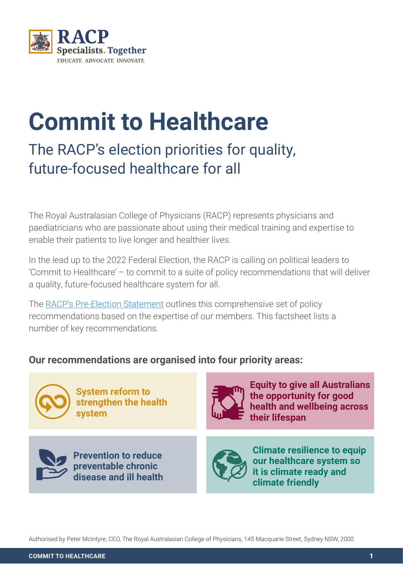

# **Commit to Healthcare**

## The RACP's election priorities for quality, future-focused healthcare for all

The Royal Australasian College of Physicians (RACP) represents physicians and paediatricians who are passionate about using their medical training and expertise to enable their patients to live longer and healthier lives.

In the lead up to the 2022 Federal Election, the RACP is calling on political leaders to 'Commit to Healthcare' – to commit to a suite of policy recommendations that will deliver a quality, future-focused healthcare system for all.

The [RACP's Pre-Election Statement](https://www.racp.edu.au/docs/default-source/policy-and-adv/election-statement/2022-racp-federal-election-statement.pd) outlines this comprehensive set of policy recommendations based on the expertise of our members. This factsheet lists a number of key recommendations.

#### **Our recommendations are organised into four priority areas:**



**System reform to strengthen the health system**



**Prevention to reduce preventable chronic disease and ill health** 



**Equity to give all Australians the opportunity for good health and wellbeing across their lifespan**



**Climate resilience to equip our healthcare system so it is climate ready and climate friendly**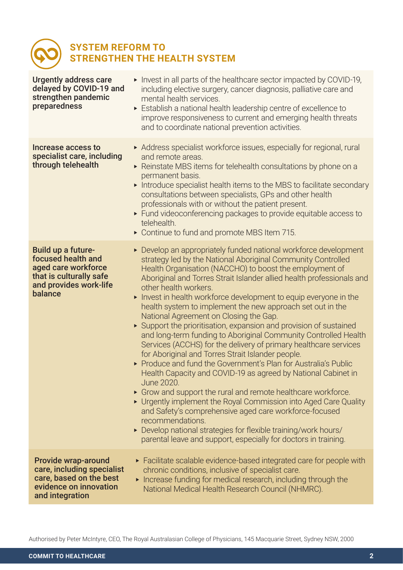#### **SYSTEM REFORM TO STRENGTHEN THE HEALTH SYSTEM**

| <b>Urgently address care</b><br>delayed by COVID-19 and<br>strengthen pandemic<br>preparedness                                   | Invest in all parts of the healthcare sector impacted by COVID-19,<br>including elective surgery, cancer diagnosis, palliative care and<br>mental health services.<br>Establish a national health leadership centre of excellence to<br>improve responsiveness to current and emerging health threats<br>and to coordinate national prevention activities.                                                                                                                                                                                                                                                                                                                                                                                                                                                                                                                                                                                                                                                                                                                                                                                                                                                                                            |
|----------------------------------------------------------------------------------------------------------------------------------|-------------------------------------------------------------------------------------------------------------------------------------------------------------------------------------------------------------------------------------------------------------------------------------------------------------------------------------------------------------------------------------------------------------------------------------------------------------------------------------------------------------------------------------------------------------------------------------------------------------------------------------------------------------------------------------------------------------------------------------------------------------------------------------------------------------------------------------------------------------------------------------------------------------------------------------------------------------------------------------------------------------------------------------------------------------------------------------------------------------------------------------------------------------------------------------------------------------------------------------------------------|
| Increase access to<br>specialist care, including<br>through telehealth                                                           | Address specialist workforce issues, especially for regional, rural<br>and remote areas.<br>► Reinstate MBS items for telehealth consultations by phone on a<br>permanent basis.<br>Introduce specialist health items to the MBS to facilitate secondary<br>consultations between specialists, GPs and other health<br>professionals with or without the patient present.<br>Eund videoconferencing packages to provide equitable access to<br>telehealth.<br>• Continue to fund and promote MBS Item 715.                                                                                                                                                                                                                                                                                                                                                                                                                                                                                                                                                                                                                                                                                                                                            |
| Build up a future-<br>focused health and<br>aged care workforce<br>that is culturally safe<br>and provides work-life<br>balance  | ▶ Develop an appropriately funded national workforce development<br>strategy led by the National Aboriginal Community Controlled<br>Health Organisation (NACCHO) to boost the employment of<br>Aboriginal and Torres Strait Islander allied health professionals and<br>other health workers.<br>Invest in health workforce development to equip everyone in the<br>health system to implement the new approach set out in the<br>National Agreement on Closing the Gap.<br>► Support the prioritisation, expansion and provision of sustained<br>and long-term funding to Aboriginal Community Controlled Health<br>Services (ACCHS) for the delivery of primary healthcare services<br>for Aboriginal and Torres Strait Islander people.<br>▶ Produce and fund the Government's Plan for Australia's Public<br>Health Capacity and COVID-19 as agreed by National Cabinet in<br>June 2020.<br>• Grow and support the rural and remote healthcare workforce.<br>• Urgently implement the Royal Commission into Aged Care Quality<br>and Safety's comprehensive aged care workforce-focused<br>recommendations.<br>▶ Develop national strategies for flexible training/work hours/<br>parental leave and support, especially for doctors in training. |
| <b>Provide wrap-around</b><br>care, including specialist<br>care, based on the best<br>evidence on innovation<br>and integration | ► Facilitate scalable evidence-based integrated care for people with<br>chronic conditions, inclusive of specialist care.<br>Increase funding for medical research, including through the<br>National Medical Health Research Council (NHMRC).                                                                                                                                                                                                                                                                                                                                                                                                                                                                                                                                                                                                                                                                                                                                                                                                                                                                                                                                                                                                        |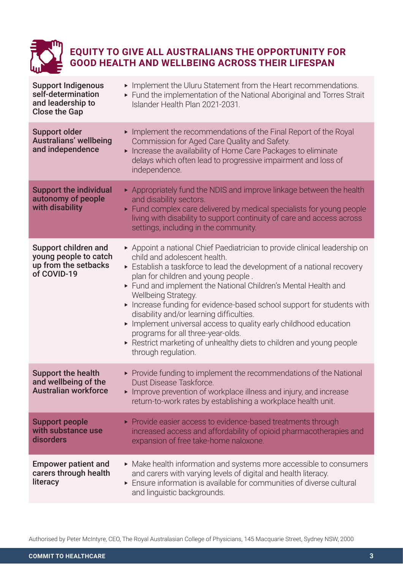

#### **EQUITY TO GIVE ALL AUSTRALIANS THE OPPORTUNITY FOR GOOD HEALTH AND WELLBEING ACROSS THEIR LIFESPAN**

| <b>Support Indigenous</b><br>self-determination<br>and leadership to<br><b>Close the Gap</b> | Implement the Uluru Statement from the Heart recommendations.<br>Fund the implementation of the National Aboriginal and Torres Strait<br>Islander Health Plan 2021-2031.                                                                                                                                                                                                                                                                                                                                                                                                                                                                  |
|----------------------------------------------------------------------------------------------|-------------------------------------------------------------------------------------------------------------------------------------------------------------------------------------------------------------------------------------------------------------------------------------------------------------------------------------------------------------------------------------------------------------------------------------------------------------------------------------------------------------------------------------------------------------------------------------------------------------------------------------------|
| <b>Support older</b><br><b>Australians' wellbeing</b><br>and independence                    | Implement the recommendations of the Final Report of the Royal<br>Commission for Aged Care Quality and Safety.<br>Increase the availability of Home Care Packages to eliminate<br>delays which often lead to progressive impairment and loss of<br>independence.                                                                                                                                                                                                                                                                                                                                                                          |
| <b>Support the individual</b><br>autonomy of people<br>with disability                       | Appropriately fund the NDIS and improve linkage between the health<br>and disability sectors.<br>Eund complex care delivered by medical specialists for young people<br>living with disability to support continuity of care and access across<br>settings, including in the community.                                                                                                                                                                                                                                                                                                                                                   |
| Support children and<br>young people to catch<br>up from the setbacks<br>of COVID-19         | Appoint a national Chief Paediatrician to provide clinical leadership on<br>child and adolescent health.<br>Establish a taskforce to lead the development of a national recovery<br>plan for children and young people.<br>Fund and implement the National Children's Mental Health and<br>Wellbeing Strategy.<br>Increase funding for evidence-based school support for students with<br>disability and/or learning difficulties.<br>Implement universal access to quality early childhood education<br>programs for all three-year-olds.<br>► Restrict marketing of unhealthy diets to children and young people<br>through regulation. |
| <b>Support the health</b><br>and wellbeing of the<br><b>Australian workforce</b>             | ▶ Provide funding to implement the recommendations of the National<br>Dust Disease Taskforce.<br>Improve prevention of workplace illness and injury, and increase<br>return-to-work rates by establishing a workplace health unit.                                                                                                                                                                                                                                                                                                                                                                                                        |
| <b>Support people</b><br>with substance use<br>disorders                                     | ▶ Provide easier access to evidence-based treatments through<br>increased access and affordability of opioid pharmacotherapies and<br>expansion of free take-home naloxone.                                                                                                                                                                                                                                                                                                                                                                                                                                                               |
| <b>Empower patient and</b><br>carers through health<br>literacy                              | • Make health information and systems more accessible to consumers<br>and carers with varying levels of digital and health literacy.<br>Ensure information is available for communities of diverse cultural<br>and linguistic backgrounds.                                                                                                                                                                                                                                                                                                                                                                                                |